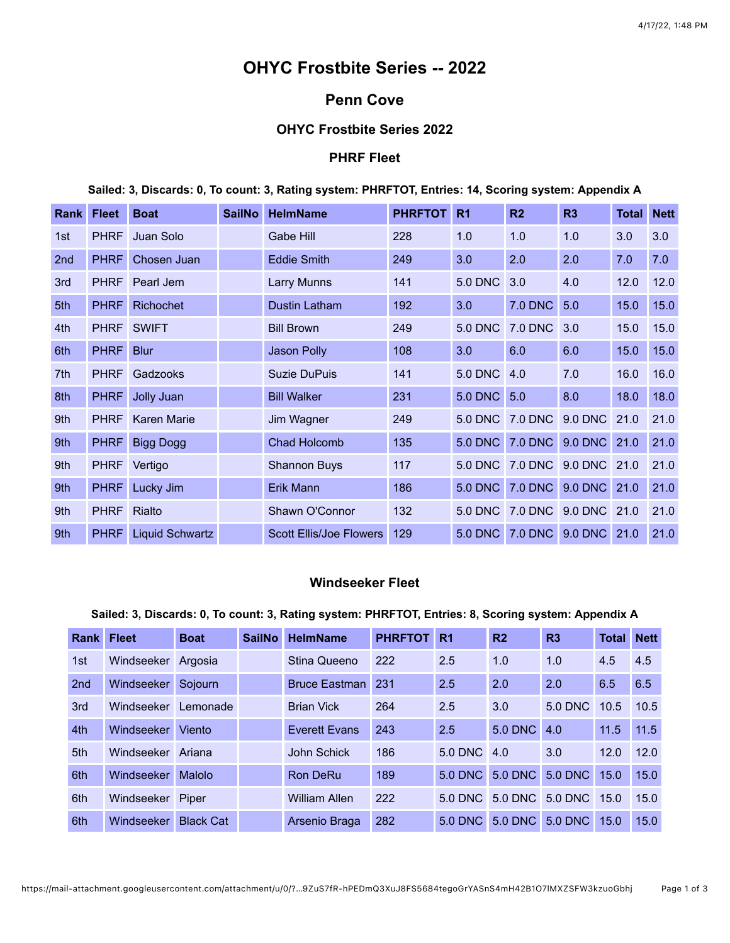# **OHYC Frostbite Series -- 2022**

# **Penn Cove**

#### **OHYC Frostbite Series 2022**

## **PHRF Fleet**

**Sailed: 3, Discards: 0, To count: 3, Rating system: PHRFTOT, Entries: 14, Scoring system: Appendix A**

| Rankl | <b>Fleet</b> | <b>Boat</b>        | <b>SailNo</b> | <b>HelmName</b>                | <b>PHRFTOT</b> | R <sub>1</sub> | R <sub>2</sub>               | R3  | <b>Total Nett</b> |      |
|-------|--------------|--------------------|---------------|--------------------------------|----------------|----------------|------------------------------|-----|-------------------|------|
| 1st   | <b>PHRF</b>  | Juan Solo          |               | Gabe Hill                      | 228            | 1.0            | 1.0                          | 1.0 | 3.0               | 3.0  |
| 2nd   | <b>PHRF</b>  | Chosen Juan        |               | <b>Eddie Smith</b>             | 249            | 3.0            | 2.0                          | 2.0 | 7.0               | 7.0  |
| 3rd   | <b>PHRF</b>  | Pearl Jem          |               | Larry Munns                    | 141            | <b>5.0 DNC</b> | 3.0                          | 4.0 | 12.0              | 12.0 |
| 5th   | <b>PHRF</b>  | <b>Richochet</b>   |               | Dustin Latham                  | 192            | 3.0            | <b>7.0 DNC</b>               | 5.0 | 15.0              | 15.0 |
| 4th   |              | PHRF SWIFT         |               | <b>Bill Brown</b>              | 249            |                | 5.0 DNC 7.0 DNC              | 3.0 | 15.0              | 15.0 |
| 6th   | <b>PHRF</b>  | <b>Blur</b>        |               | <b>Jason Polly</b>             | 108            | 3.0            | 6.0                          | 6.0 | 15.0              | 15.0 |
| 7th   | <b>PHRF</b>  | Gadzooks           |               | <b>Suzie DuPuis</b>            | 141            | 5.0 DNC 4.0    |                              | 7.0 | 16.0              | 16.0 |
| 8th   | <b>PHRF</b>  | Jolly Juan         |               | <b>Bill Walker</b>             | 231            | 5.0 DNC 5.0    |                              | 8.0 | 18.0              | 18.0 |
| 9th   | <b>PHRF</b>  | <b>Karen Marie</b> |               | Jim Wagner                     | 249            |                | 5.0 DNC 7.0 DNC 9.0 DNC      |     | 21.0              | 21.0 |
| 9th   | <b>PHRF</b>  | <b>Bigg Dogg</b>   |               | <b>Chad Holcomb</b>            | 135            |                | 5.0 DNC 7.0 DNC 9.0 DNC 21.0 |     |                   | 21.0 |
| 9th   | <b>PHRF</b>  | Vertigo            |               | <b>Shannon Buys</b>            | 117            |                | 5.0 DNC 7.0 DNC 9.0 DNC 21.0 |     |                   | 21.0 |
| 9th   | <b>PHRF</b>  | Lucky Jim          |               | Erik Mann                      | 186            |                | 5.0 DNC 7.0 DNC 9.0 DNC 21.0 |     |                   | 21.0 |
| 9th   | <b>PHRF</b>  | Rialto             |               | Shawn O'Connor                 | 132            |                | 5.0 DNC 7.0 DNC 9.0 DNC 21.0 |     |                   | 21.0 |
| 9th   | <b>PHRF</b>  | Liquid Schwartz    |               | <b>Scott Ellis/Joe Flowers</b> | 129            |                | 5.0 DNC 7.0 DNC 9.0 DNC 21.0 |     |                   | 21.0 |

## **Windseeker Fleet**

#### **Sailed: 3, Discards: 0, To count: 3, Rating system: PHRFTOT, Entries: 8, Scoring system: Appendix A**

| <b>Rank</b>     | <b>Fleet</b>      | <b>Boat</b>      | <b>SailNo</b> | <b>HelmName</b>      | <b>PHRFTOT</b> | R <sub>1</sub> | R <sub>2</sub> | R3           | <b>Total</b> | <b>Nett</b> |
|-----------------|-------------------|------------------|---------------|----------------------|----------------|----------------|----------------|--------------|--------------|-------------|
| 1st             | Windseeker        | Argosia          |               | Stina Queeno         | 222            | 2.5            | 1.0            | 1.0          | 4.5          | 4.5         |
| 2 <sub>nd</sub> | <b>Windseeker</b> | Sojourn          |               | <b>Bruce Eastman</b> | 231            | 2.5            | 2.0            | 2.0          | 6.5          | 6.5         |
| 3rd             | Windseeker        | Lemonade         |               | <b>Brian Vick</b>    | 264            | 2.5            | 3.0            | 5.0 DNC      | 10.5         | 10.5        |
| 4th             | Windseeker        | Viento           |               | <b>Everett Evans</b> | 243            | 2.5            | <b>5.0 DNC</b> | 4.0          | 11.5         | 11.5        |
| 5th             | Windseeker        | Ariana           |               | John Schick          | 186            | 5.0 DNC 4.0    |                | 3.0          | 12.0         | 12.0        |
| 6th             | <b>Windseeker</b> | Malolo           |               | <b>Ron DeRu</b>      | 189            | <b>5.0 DNC</b> | 5.0 DNC        | 5.0 DNC 15.0 |              | 15.0        |
| 6th             | Windseeker        | Piper            |               | <b>William Allen</b> | 222            | $5.0$ DNC      | 5.0 DNC        | 5.0 DNC 15.0 |              | 15.0        |
| 6th             | <b>Windseeker</b> | <b>Black Cat</b> |               | Arsenio Braga        | 282            | $5.0$ DNC      | 5.0 DNC        | 5.0 DNC      | 15.0         | 15.0        |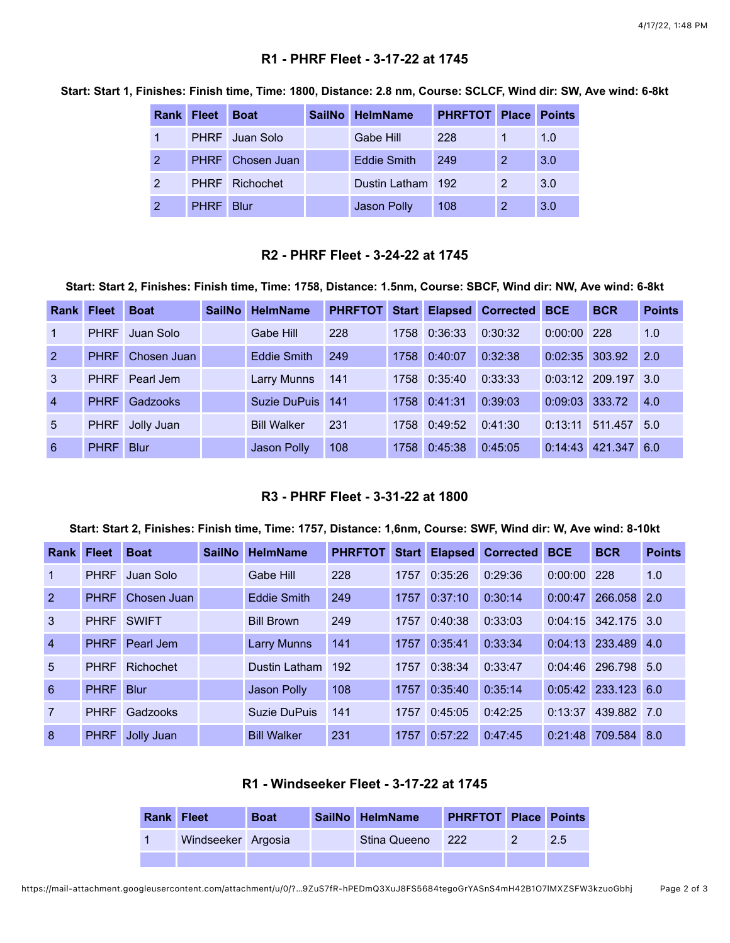## **R1 - PHRF Fleet - 3-17-22 at 1745**

|               | <b>Rank Fleet</b> | <b>Boat</b>             | SailNo HelmName   | <b>PHRFTOT Place</b> |                | <b>Points</b> |
|---------------|-------------------|-------------------------|-------------------|----------------------|----------------|---------------|
|               |                   | PHRF Juan Solo          | Gabe Hill         | 228                  |                | 1.0           |
| 2             |                   | <b>PHRF</b> Chosen Juan | Eddie Smith       | 249                  | 2              | 3.0           |
| $\mathcal{P}$ |                   | PHRF Richochet          | Dustin Latham 192 |                      | $\overline{2}$ | 3.0           |
|               | <b>PHRF</b> Blur  |                         | Jason Polly       | 108                  | 2              | 3.0           |

**Start: Start 1, Finishes: Finish time, Time: 1800, Distance: 2.8 nm, Course: SCLCF, Wind dir: SW, Ave wind: 6-8kt**

#### **R2 - PHRF Fleet - 3-24-22 at 1745**

**Start: Start 2, Finishes: Finish time, Time: 1758, Distance: 1.5nm, Course: SBCF, Wind dir: NW, Ave wind: 6-8kt**

| <b>Rank Fleet</b> |             | <b>Boat</b> | <b>SailNo</b> | <b>HelmName</b>    | <b>PHRFTOT</b> | <b>Start</b> |         | <b>Elapsed Corrected</b> | <b>BCE</b>       | <b>BCR</b>            | <b>Points</b> |
|-------------------|-------------|-------------|---------------|--------------------|----------------|--------------|---------|--------------------------|------------------|-----------------------|---------------|
| $\overline{1}$    | <b>PHRF</b> | Juan Solo   |               | Gabe Hill          | 228            | 1758         | 0:36:33 | 0:30:32                  | $0:00:00$ 228    |                       | 1.0           |
| <sup>2</sup>      | <b>PHRF</b> | Chosen Juan |               | Eddie Smith        | 249            | 1758         | 0:40:07 | 0:32:38                  | $0:02:35$ 303.92 |                       | 2.0           |
| 3                 | <b>PHRF</b> | Pearl Jem   |               | Larry Munns        | 141            | 1758         | 0:35:40 | 0:33:33                  |                  | $0:03:12$ 209.197 3.0 |               |
| $\overline{4}$    | <b>PHRF</b> | Gadzooks    |               | Suzie DuPuis       | 141            | 1758         | 0:41:31 | 0:39:03                  | 0:09:03 333.72   |                       | 4.0           |
| $\overline{5}$    | <b>PHRF</b> | Jolly Juan  |               | <b>Bill Walker</b> | 231            | 1758         | 0:49:52 | 0:41:30                  | 0:13:11          | 511.457               | 5.0           |
| 6                 | <b>PHRF</b> | <b>Blur</b> |               | Jason Polly        | 108            | 1758         | 0:45:38 | 0:45:05                  | 0:14:43          | 421.347               | 6.0           |

#### **R3 - PHRF Fleet - 3-31-22 at 1800**

#### **Start: Start 2, Finishes: Finish time, Time: 1757, Distance: 1,6nm, Course: SWF, Wind dir: W, Ave wind: 8-10kt**

| <b>Rank Fleet</b> |             | <b>Boat</b>  | <b>SailNo</b> | <b>HelmName</b>    | <b>PHRFTOT</b> | <b>Start</b> |         | <b>Elapsed Corrected</b> | <b>BCE</b> | <b>BCR</b>            | <b>Points</b> |
|-------------------|-------------|--------------|---------------|--------------------|----------------|--------------|---------|--------------------------|------------|-----------------------|---------------|
| $\mathbf 1$       | <b>PHRF</b> | Juan Solo    |               | Gabe Hill          | 228            | 1757         | 0:35:26 | 0:29:36                  | 0:00:00    | 228                   | 1.0           |
| 2                 | <b>PHRF</b> | Chosen Juan  |               | <b>Eddie Smith</b> | 249            | 1757         | 0:37:10 | 0:30:14                  | 0:00:47    | 266.058 2.0           |               |
| 3                 | <b>PHRF</b> | <b>SWIFT</b> |               | <b>Bill Brown</b>  | 249            | 1757         | 0:40:38 | 0:33:03                  |            | $0:04:15$ 342.175 3.0 |               |
| $\overline{4}$    | <b>PHRF</b> | Pearl Jem    |               | <b>Larry Munns</b> | 141            | 1757         | 0:35:41 | 0:33:34                  |            | 0:04:13 233.489       | 4.0           |
| 5                 | <b>PHRF</b> | Richochet    |               | Dustin Latham      | 192            | 1757         | 0:38:34 | 0:33:47                  |            | $0:04:46$ 296.798 5.0 |               |
| 6                 | <b>PHRF</b> | <b>Blur</b>  |               | Jason Polly        | 108            | 1757         | 0:35:40 | 0:35:14                  |            | $0:05:42$ 233.123 6.0 |               |
| $\overline{7}$    | <b>PHRF</b> | Gadzooks     |               | Suzie DuPuis       | 141            | 1757         | 0:45:05 | 0:42:25                  | 0:13:37    | 439.882 7.0           |               |
| 8                 | <b>PHRF</b> | Jolly Juan   |               | <b>Bill Walker</b> | 231            | 1757         | 0:57:22 | 0:47:45                  | 0:21:48    | 709.584 8.0           |               |

## **R1 - Windseeker Fleet - 3-17-22 at 1745**

| <b>Rank Fleet</b> |                    | <b>Boat</b> | SailNo HelmName | <b>PHRFTOT Place Points</b> |     |
|-------------------|--------------------|-------------|-----------------|-----------------------------|-----|
|                   | Windseeker Argosia |             | Stina Queeno    | $ 222\rangle$               | 2.5 |
|                   |                    |             |                 |                             |     |